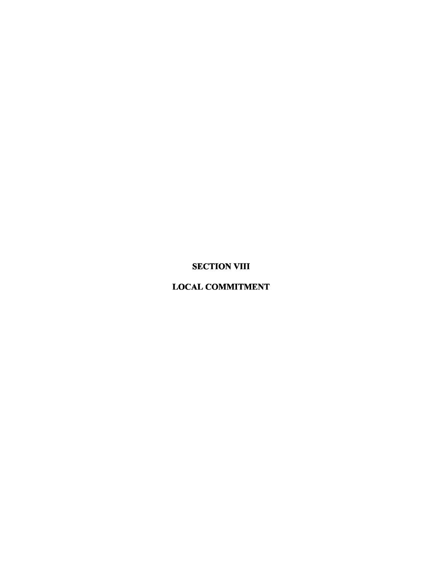**SECTION VIII** 

# LOCAL COMMITMENT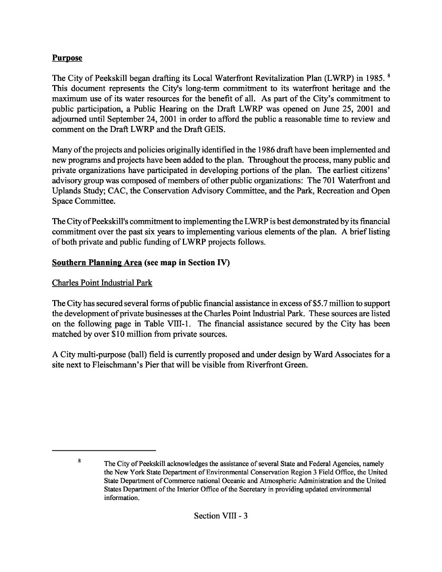# **Purpose**

The City of Peekskill began drafting its Local Waterfront Revitalization Plan (LWRP) in 1985. <sup>8</sup> This document represents the City's long-term commitment to its waterfront heritage and the maximum use of its water resources for the benefit of all. As part of the City's commitment to public participation, a Public Hearing on the Draft LWRP was opened on June 25, 2001 and adjourned until September 24,2001 in order to afford the public a reasonable time to review and comment on the Draft LWRP and the Draft GElS.

Many of the projects and policies originally identified in the 1986 draft have been implemented and new programs and projects have been added to the plan. Throughout the process, many public and private organizations have participated in developing portions ofthe plan. The earliest citizens' advisory group was composed of members of other public organizations: The 701 Waterfront and Uplands Study; CAC, the Conservation Advisory Committee, and the Park, Recreation and Open Space Committee.

The City of Peekskill's commitment to implementing the LWRP is best demonstrated by its financial commitment over the past six years to implementing various elements of the plan. A brief listing of both private and public funding of LWRP projects follows.

#### **Southern Plannin2 Area** (see **map in Section IV)**

# Charles Point Industrial Park

The City has secured several forms of public financial assistance in excess of \$5.7 million to support the development of private businesses at the Charles Point Industrial Park. These sources are listed on the following page in Table VIII-I. The fmancial assistance secured by the City has been matched by over \$10 million from private sources.

A City multi-purpose (ball) field is currently proposed and under design by Ward Associates for a site next to Fleischmann's Pier that will be visible from Riverfront Green.

<sup>&</sup>lt;sup>8</sup> The City of Peekskill acknowledges the assistance of several State and Federal Agencies, namely the New York State Department of Environmental Conservation Region 3 Field Office, the United State Department ofCommerce national Oceanic and Atmospheric Administration and the United States Department of the Interior Office of the Secretary in providing updated environmental information.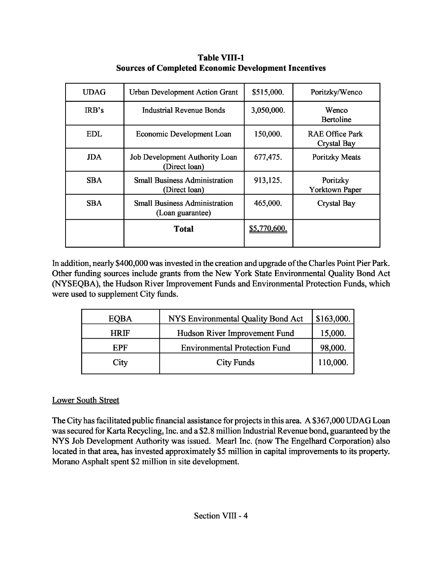| <b>UDAG</b> | <b>Urban Development Action Grant</b>                    | \$515,000.   | Poritzky/Wenco                    |
|-------------|----------------------------------------------------------|--------------|-----------------------------------|
| IRB's       | Industrial Revenue Bonds                                 | 3,050,000.   | Wenco<br><b>Bertoline</b>         |
| EDL.        | Economic Development Loan                                | 150,000.     | RAE Office Park<br>Crystal Bay    |
| <b>JDA</b>  | Job Development Authority Loan<br>(Direct loan)          | 677,475.     | <b>Poritzky Meats</b>             |
| <b>SBA</b>  | <b>Small Business Administration</b><br>(Direct loan)    | 913,125.     | Poritzky<br><b>Yorktown Paper</b> |
| <b>SBA</b>  | <b>Small Business Administration</b><br>(Loan guarantee) | 465,000.     | Crystal Bay                       |
|             | Total                                                    | \$5,770,600. |                                   |

#### **Table VIII-l Sources of Completed Economic Development Incentives**

In addition, nearly \$400,000 was invested in the creation and upgrade ofthe Charles Point Pier Park. Other funding sources include grants from the New York State Environmental Quality Bond Act (NYSEQBA), the Hudson River Improvement Funds and Environmental Protection Funds, which were used to supplement City funds.

| <b>NYS Environmental Quality Bond Act</b> | \$163,000. |
|-------------------------------------------|------------|
| Hudson River Improvement Fund             | 15,000.    |
| <b>Environmental Protection Fund</b>      | 98,000.    |
| <b>City Funds</b>                         | 110,000.   |
|                                           |            |

# Lower South Street

The City has facilitated public financial assistance for projects in this area. A \$367,000 UDAG Loan was secured for Karta Recycling, Inc. and a \$2.8 million Industrial Revenue bond, guaranteed by the NYS Job Development Authority was issued. Mearl Inc. (now The Engelhard Corporation) also located in that area, has invested approximately \$5 million in capital improvements to its property. Morano Asphalt spent \$2 million in site development.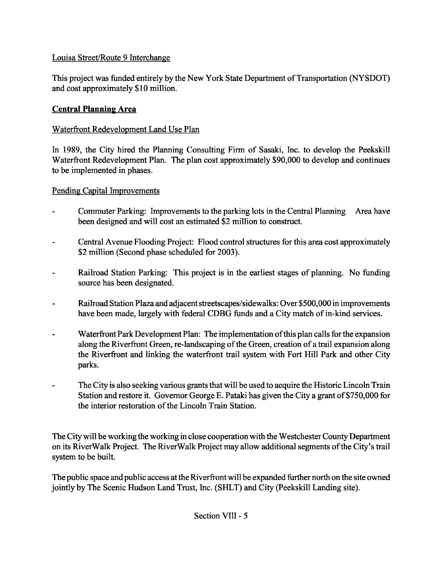#### Louisa Street/Route 9 Interchange

This project was funded entirely by the New York State Department of Transportation (NYSDOT) and cost approximately \$10 million.

# **Central Plannin2 Area**

#### Waterfront Redevelopment Land Use Plan

In 1989, the City hired the Planning Consulting Firm of Sasaki, Inc. to develop the Peekskill Waterfront Redevelopment Plan. The plan cost approximately \$90,000 to develop and continues to be implemented in phases.

#### Pending Capital Improvements

- Commuter Parking: Improvements to the parking lots in the Central Planning Area have been designed and will cost an estimated \$2 million to construct.
- Central Avenue Flooding Project: Flood control structures for this area cost approximately \$2 million (Second phase scheduled for 2003).
- Railroad Station Parking: This project is in the earliest stages of planning. No funding source has been designated.
- Railroad Station Plaza and adjacent streetscapes/sidewalks: Over \$500,000 in improvements have been made, largely with federal CDBG funds and a City match of in-kind services.
- Waterfront Park Development Plan: The implementation of this plan calls for the expansion along the Riverfront Green, re-landscaping of the Green, creation of a trail expansion along the Riverfront and linking the waterfront trail system with Fort Hill Park and other City parks.
- The City is also seeking various grants that will be used to acquire the Historic Lincoln Train Station and restore it. Governor George E. Pataki has given the City a grant of \$750,000 for the interior restoration of the Lincoln Train Station.

The City will be working the working in close cooperation with the Westchester County Department on its RiverWalk Project. The RiverWalk Project may allow additional segments ofthe City's trail system to be built.

The public space and public access at the Riverfront will be expanded further north on the site owned jointly by The Scenic Hudson Land Trust, Inc. (SHLT) and City (peekskill Landing site).